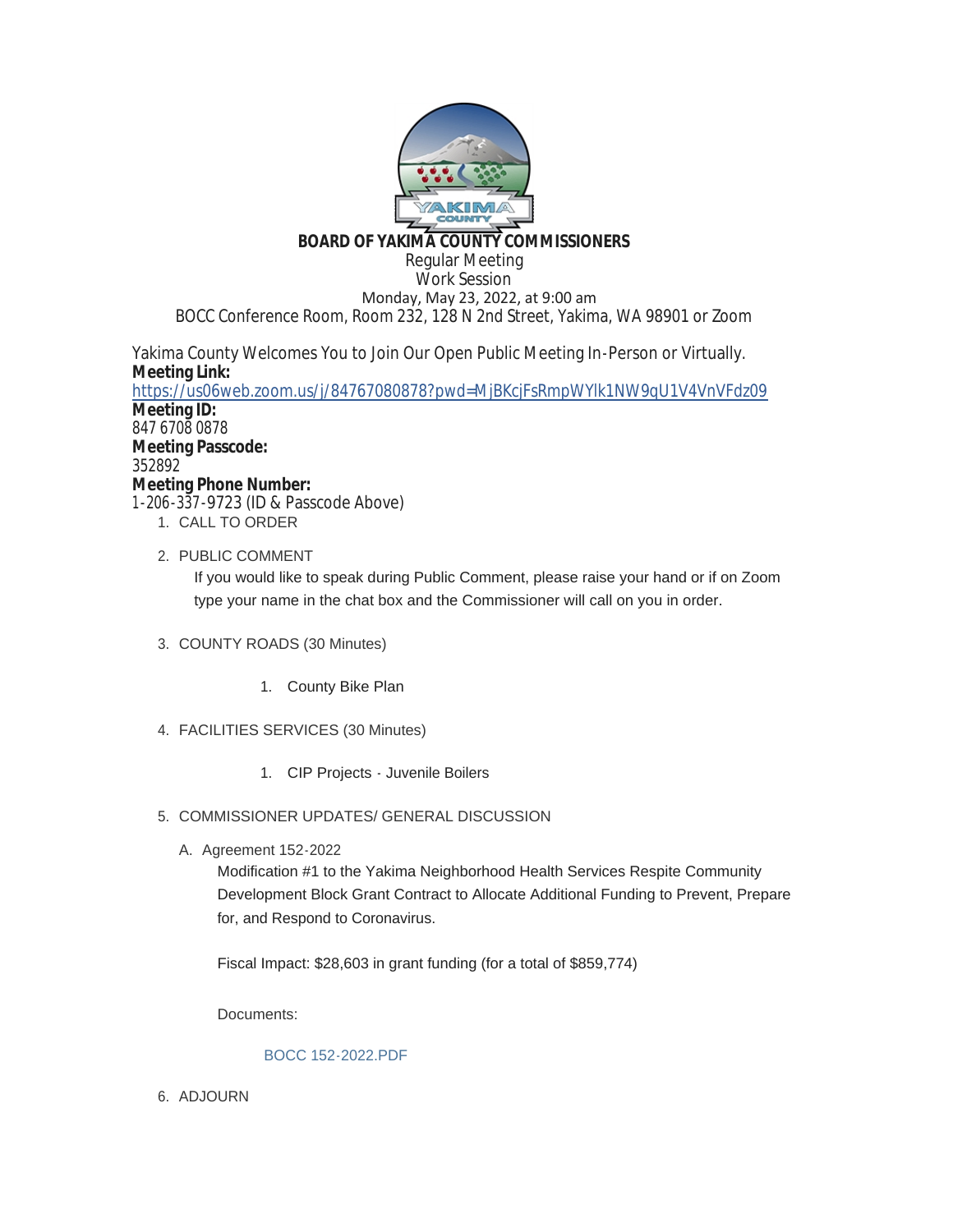

## **BOARD OF YAKIMA COUNTY COMMISSIONERS**

Regular Meeting Work Session Monday, May 23, 2022, at 9:00 am BOCC Conference Room, Room 232, 128 N 2nd Street, Yakima, WA 98901 or Zoom

Yakima County Welcomes You to Join Our Open Public Meeting In-Person or Virtually. **Meeting Link:**

<https://us06web.zoom.us/j/84767080878?pwd=MjBKcjFsRmpWYlk1NW9qU1V4VnVFdz09> **Meeting ID:** 847 6708 0878 **Meeting Passcode:** 352892 **Meeting Phone Number:** 1-206-337-9723 (ID & Passcode Above)

- 1. CALL TO ORDER
- 2. PUBLIC COMMENT

If you would like to speak during Public Comment, please raise your hand or if on Zoom type your name in the chat box and the Commissioner will call on you in order.

- COUNTY ROADS (30 Minutes) 3.
	- 1. County Bike Plan
- FACILITIES SERVICES (30 Minutes) 4.
	- 1. CIP Projects Juvenile Boilers
- 5. COMMISSIONER UPDATES/ GENERAL DISCUSSION
	- A. Agreement 152-2022

Modification #1 to the Yakima Neighborhood Health Services Respite Community Development Block Grant Contract to Allocate Additional Funding to Prevent, Prepare for, and Respond to Coronavirus.

Fiscal Impact: \$28,603 in grant funding (for a total of \$859,774)

Documents:

## [BOCC 152-2022.PDF](https://www.yakimacounty.us/AgendaCenter/ViewFile/Item/4452?fileID=16206)

6. ADJOURN